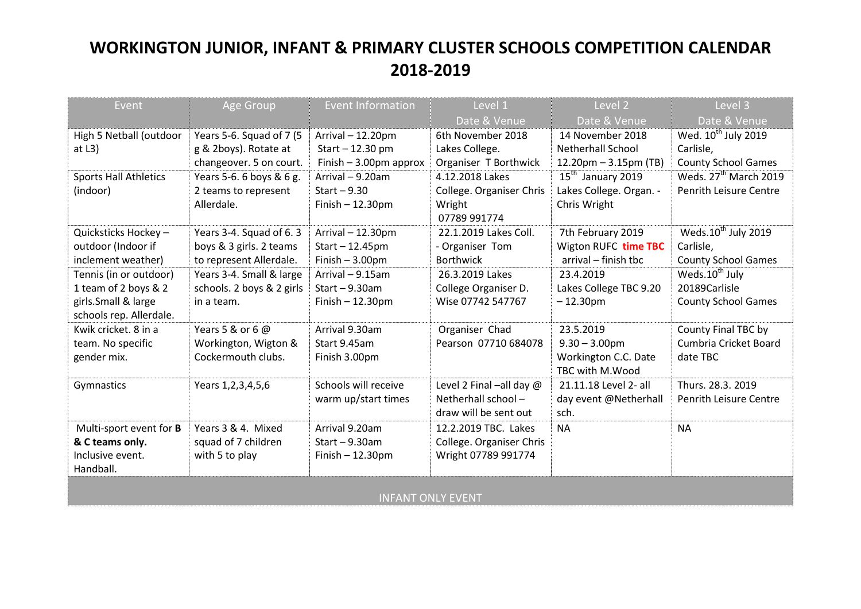## **WORKINGTON JUNIOR, INFANT & PRIMARY CLUSTER SCHOOLS COMPETITION CALENDAR 2018-2019**

| Event                          | Age Group                 | <b>Event Information</b> | Level 1                  | Level 2                  | Level 3                           |  |  |
|--------------------------------|---------------------------|--------------------------|--------------------------|--------------------------|-----------------------------------|--|--|
|                                |                           |                          | Date & Venue             | Date & Venue             | Date & Venue                      |  |  |
| High 5 Netball (outdoor        | Years 5-6. Squad of 7 (5  | Arrival - 12.20pm        | 6th November 2018        | 14 November 2018         | Wed. 10 <sup>th</sup> July 2019   |  |  |
| at $L3$ )                      | g & 2boys). Rotate at     | Start - 12.30 pm         | Lakes College.           | Netherhall School        | Carlisle,                         |  |  |
|                                | changeover. 5 on court.   | Finish $-3.00$ pm approx | Organiser T Borthwick    | $12.20$ pm – 3.15pm (TB) | <b>County School Games</b>        |  |  |
| <b>Sports Hall Athletics</b>   | Years 5-6. 6 boys & 6 g.  | Arrival - 9.20am         | 4.12.2018 Lakes          | $15th$ January 2019      | Weds. 27 <sup>th</sup> March 2019 |  |  |
| (indoor)                       | 2 teams to represent      | Start $-9.30$            | College. Organiser Chris | Lakes College. Organ. -  | Penrith Leisure Centre            |  |  |
|                                | Allerdale.                | $Finish - 12.30pm$       | Wright                   | Chris Wright             |                                   |  |  |
|                                |                           |                          | 07789 991774             |                          |                                   |  |  |
| Quicksticks Hockey-            | Years 3-4. Squad of 6.3   | Arrival - 12.30pm        | 22.1.2019 Lakes Coll.    | 7th February 2019        | Weds.10 <sup>th</sup> July 2019   |  |  |
| outdoor (Indoor if             | boys & 3 girls. 2 teams   | $Start - 12.45pm$        | - Organiser Tom          | Wigton RUFC time TBC     | Carlisle,                         |  |  |
| inclement weather)             | to represent Allerdale.   | Finish $-3.00$ pm        | <b>Borthwick</b>         | arrival - finish tbc     | <b>County School Games</b>        |  |  |
| Tennis (in or outdoor)         | Years 3-4. Small & large  | Arrival - 9.15am         | 26.3.2019 Lakes          | 23.4.2019                | Weds.10 <sup>th</sup> July        |  |  |
| 1 team of 2 boys & 2           | schools. 2 boys & 2 girls | $Start - 9.30am$         | College Organiser D.     | Lakes College TBC 9.20   | 20189Carlisle                     |  |  |
| girls.Small & large            | in a team.                | $Finish - 12.30pm$       | Wise 07742 547767        | $-12.30pm$               | <b>County School Games</b>        |  |  |
| schools rep. Allerdale.        |                           |                          |                          |                          |                                   |  |  |
| Kwik cricket. 8 in a           | Years 5 & or 6 @          | Arrival 9.30am           | Organiser Chad           | 23.5.2019                | County Final TBC by               |  |  |
| team. No specific              | Workington, Wigton &      | Start 9.45am             | Pearson 07710 684078     | $9.30 - 3.00$ pm         | Cumbria Cricket Board             |  |  |
| gender mix.                    | Cockermouth clubs.        | Finish 3.00pm            |                          | Workington C.C. Date     | date TBC                          |  |  |
|                                |                           |                          |                          | TBC with M.Wood          |                                   |  |  |
| Gymnastics                     | Years 1, 2, 3, 4, 5, 6    | Schools will receive     | Level 2 Final -all day @ | 21.11.18 Level 2- all    | Thurs. 28.3. 2019                 |  |  |
|                                |                           | warm up/start times      | Netherhall school-       | day event @Netherhall    | <b>Penrith Leisure Centre</b>     |  |  |
|                                |                           |                          | draw will be sent out    | sch.                     |                                   |  |  |
| Multi-sport event for <b>B</b> | Years 3 & 4. Mixed        | Arrival 9.20am           | 12.2.2019 TBC. Lakes     | <b>NA</b>                | <b>NA</b>                         |  |  |
| & C teams only.                | squad of 7 children       | $Start - 9.30am$         | College. Organiser Chris |                          |                                   |  |  |
| Inclusive event.               | with 5 to play            | Finish $-12.30$ pm       | Wright 07789 991774      |                          |                                   |  |  |
| Handball.                      |                           |                          |                          |                          |                                   |  |  |
|                                |                           |                          |                          |                          |                                   |  |  |
| <b>INFANT ONLY EVENT</b>       |                           |                          |                          |                          |                                   |  |  |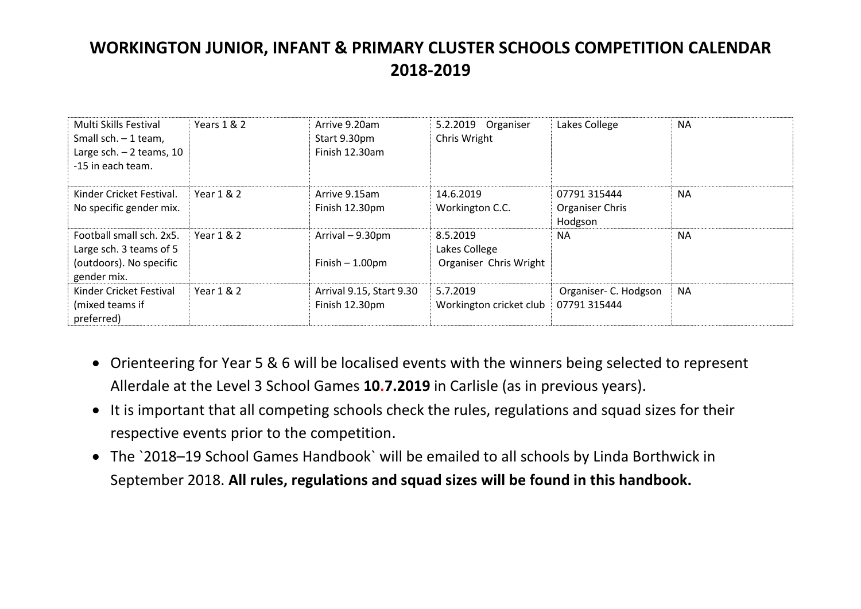## **WORKINGTON JUNIOR, INFANT & PRIMARY CLUSTER SCHOOLS COMPETITION CALENDAR 2018-2019**

| Multi Skills Festival<br>Small sch. $-1$ team,<br>Large sch. $-2$ teams, 10<br>-15 in each team. | Years 1 & 2  | Arrive 9.20am<br>Start 9.30pm<br>Finish 12.30am | 5.2.2019 Organiser<br>Chris Wright                  | Lakes College                              | <b>NA</b> |
|--------------------------------------------------------------------------------------------------|--------------|-------------------------------------------------|-----------------------------------------------------|--------------------------------------------|-----------|
| Kinder Cricket Festival.<br>No specific gender mix.                                              | Year 1 & 2   | Arrive 9.15am<br>Finish 12.30pm                 | 14.6.2019<br>Workington C.C.                        | 07791 315444<br>Organiser Chris<br>Hodgson | <b>NA</b> |
| Football small sch. 2x5.<br>Large sch. 3 teams of 5<br>(outdoors). No specific<br>gender mix.    | Year $1 & 2$ | Arrival - 9.30pm<br>Finish $-1.00$ pm           | 8.5.2019<br>Lakes College<br>Organiser Chris Wright | <b>NA</b>                                  | <b>NA</b> |
| Kinder Cricket Festival<br>(mixed teams if<br>preferred)                                         | Year 1 & 2   | Arrival 9.15, Start 9.30<br>Finish 12.30pm      | 5.7.2019<br>Workington cricket club                 | Organiser- C. Hodgson<br>07791 315444      | <b>NA</b> |

- Orienteering for Year 5 & 6 will be localised events with the winners being selected to represent Allerdale at the Level 3 School Games **10.7.2019** in Carlisle (as in previous years).
- It is important that all competing schools check the rules, regulations and squad sizes for their respective events prior to the competition.
- The `2018–19 School Games Handbook` will be emailed to all schools by Linda Borthwick in September 2018. **All rules, regulations and squad sizes will be found in this handbook.**